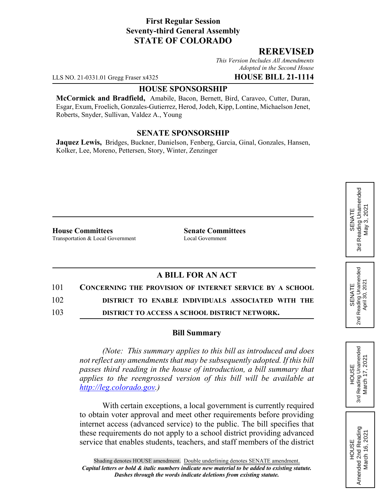## **First Regular Session Seventy-third General Assembly STATE OF COLORADO**

### **REREVISED**

*This Version Includes All Amendments Adopted in the Second House*

LLS NO. 21-0331.01 Gregg Fraser x4325 **HOUSE BILL 21-1114**

#### **HOUSE SPONSORSHIP**

**McCormick and Bradfield,** Amabile, Bacon, Bernett, Bird, Caraveo, Cutter, Duran, Esgar, Exum, Froelich, Gonzales-Gutierrez, Herod, Jodeh, Kipp, Lontine, Michaelson Jenet, Roberts, Snyder, Sullivan, Valdez A., Young

### **SENATE SPONSORSHIP**

**Jaquez Lewis,** Bridges, Buckner, Danielson, Fenberg, Garcia, Ginal, Gonzales, Hansen, Kolker, Lee, Moreno, Pettersen, Story, Winter, Zenzinger

**House Committees Senate Committees** Transportation & Local Government Local Government

# **A BILL FOR AN ACT**

101 **CONCERNING THE PROVISION OF INTERNET SERVICE BY A SCHOOL**

102 **DISTRICT TO ENABLE INDIVIDUALS ASSOCIATED WITH THE**

103 **DISTRICT TO ACCESS A SCHOOL DISTRICT NETWORK.**

#### **Bill Summary**

*(Note: This summary applies to this bill as introduced and does not reflect any amendments that may be subsequently adopted. If this bill passes third reading in the house of introduction, a bill summary that applies to the reengrossed version of this bill will be available at http://leg.colorado.gov.)*

With certain exceptions, a local government is currently required to obtain voter approval and meet other requirements before providing internet access (advanced service) to the public. The bill specifies that these requirements do not apply to a school district providing advanced service that enables students, teachers, and staff members of the district

Reading Unamended 3rd Reading Unamended March 17, 2021 March 17, 2021 **HOUSE** 3rd

HOUSE<br>Amended 2nd Reading Amended 2nd Reading March 16, 2021

March 16, 2021

SENATE 2nd Reading Unamended April 30, 2021

2nd Reading Unamended<br>April 30, 2021